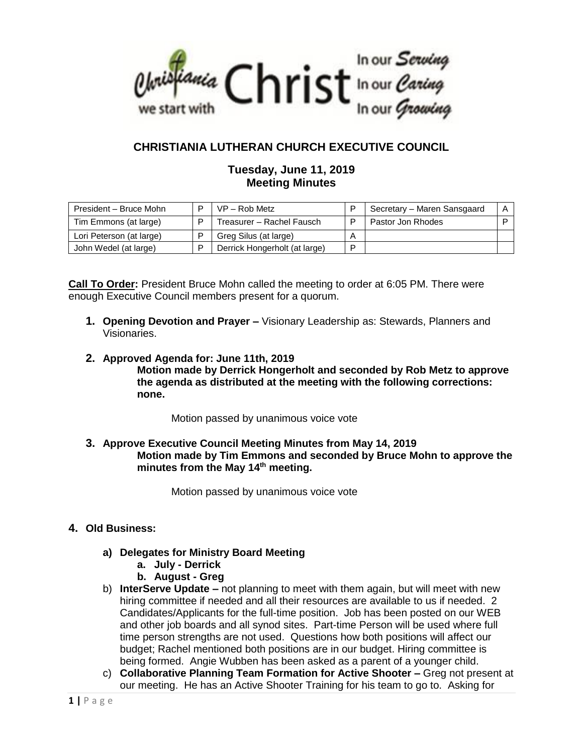

# **CHRISTIANIA LUTHERAN CHURCH EXECUTIVE COUNCIL**

# **Tuesday, June 11, 2019 Meeting Minutes**

| President - Bruce Mohn   | D | $VP - Rob Metz$               |   | Secretary - Maren Sansgaard |  |
|--------------------------|---|-------------------------------|---|-----------------------------|--|
| Tim Emmons (at large)    | D | Treasurer - Rachel Fausch     | D | Pastor Jon Rhodes           |  |
| Lori Peterson (at large) |   | Greg Silus (at large)         | А |                             |  |
| John Wedel (at large)    | D | Derrick Hongerholt (at large) | D |                             |  |

**Call To Order:** President Bruce Mohn called the meeting to order at 6:05 PM. There were enough Executive Council members present for a quorum.

- **1. Opening Devotion and Prayer –** Visionary Leadership as: Stewards, Planners and Visionaries.
- **2. Approved Agenda for: June 11th, 2019 Motion made by Derrick Hongerholt and seconded by Rob Metz to approve the agenda as distributed at the meeting with the following corrections: none.**

Motion passed by unanimous voice vote

**3. Approve Executive Council Meeting Minutes from May 14, 2019 Motion made by Tim Emmons and seconded by Bruce Mohn to approve the minutes from the May 14th meeting.**

Motion passed by unanimous voice vote

# **4. Old Business:**

- **a) Delegates for Ministry Board Meeting**
	- **a. July - Derrick**
	- **b. August - Greg**
- b) **InterServe Update –** not planning to meet with them again, but will meet with new hiring committee if needed and all their resources are available to us if needed. 2 Candidates/Applicants for the full-time position. Job has been posted on our WEB and other job boards and all synod sites. Part-time Person will be used where full time person strengths are not used. Questions how both positions will affect our budget; Rachel mentioned both positions are in our budget. Hiring committee is being formed. Angie Wubben has been asked as a parent of a younger child.
- c) **Collaborative Planning Team Formation for Active Shooter –** Greg not present at our meeting. He has an Active Shooter Training for his team to go to. Asking for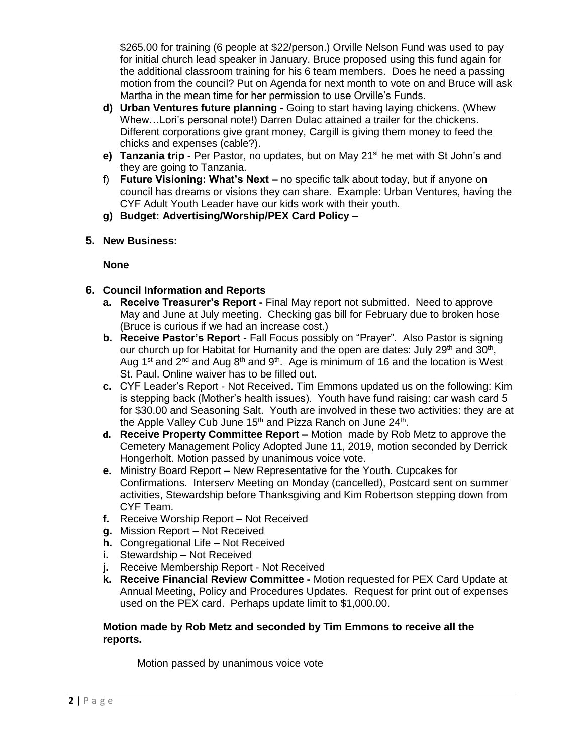\$265.00 for training (6 people at \$22/person.) Orville Nelson Fund was used to pay for initial church lead speaker in January. Bruce proposed using this fund again for the additional classroom training for his 6 team members. Does he need a passing motion from the council? Put on Agenda for next month to vote on and Bruce will ask Martha in the mean time for her permission to use Orville's Funds.

- **d) Urban Ventures future planning -** Going to start having laying chickens. (Whew Whew…Lori's personal note!) Darren Dulac attained a trailer for the chickens. Different corporations give grant money, Cargill is giving them money to feed the chicks and expenses (cable?).
- **e) Tanzania trip -** Per Pastor, no updates, but on May 21st he met with St John's and they are going to Tanzania.
- f) **Future Visioning: What's Next –** no specific talk about today, but if anyone on council has dreams or visions they can share. Example: Urban Ventures, having the CYF Adult Youth Leader have our kids work with their youth.
- **g) Budget: Advertising/Worship/PEX Card Policy –**
- **5. New Business:**

**None**

- **6. Council Information and Reports**
	- **a. Receive Treasurer's Report -** Final May report not submitted. Need to approve May and June at July meeting. Checking gas bill for February due to broken hose (Bruce is curious if we had an increase cost.)
	- **b. Receive Pastor's Report -** Fall Focus possibly on "Prayer". Also Pastor is signing our church up for Habitat for Humanity and the open are dates: July 29<sup>th</sup> and 30<sup>th</sup>, Aug 1<sup>st</sup> and 2<sup>nd</sup> and Aug 8<sup>th</sup> and 9<sup>th</sup>. Age is minimum of 16 and the location is West St. Paul. Online waiver has to be filled out.
	- **c.** CYF Leader's Report Not Received. Tim Emmons updated us on the following: Kim is stepping back (Mother's health issues). Youth have fund raising: car wash card 5 for \$30.00 and Seasoning Salt. Youth are involved in these two activities: they are at the Apple Valley Cub June 15<sup>th</sup> and Pizza Ranch on June 24<sup>th</sup>.
	- **d. Receive Property Committee Report –** Motion made by Rob Metz to approve the Cemetery Management Policy Adopted June 11, 2019, motion seconded by Derrick Hongerholt. Motion passed by unanimous voice vote.
	- **e.** Ministry Board Report New Representative for the Youth. Cupcakes for Confirmations. Interserv Meeting on Monday (cancelled), Postcard sent on summer activities, Stewardship before Thanksgiving and Kim Robertson stepping down from CYF Team.
	- **f.** Receive Worship Report Not Received
	- **g.** Mission Report Not Received
	- **h.** Congregational Life Not Received
	- **i.** Stewardship Not Received
	- **j.** Receive Membership Report Not Received
	- **k. Receive Financial Review Committee -** Motion requested for PEX Card Update at Annual Meeting, Policy and Procedures Updates. Request for print out of expenses used on the PEX card. Perhaps update limit to \$1,000.00.

# **Motion made by Rob Metz and seconded by Tim Emmons to receive all the reports.**

Motion passed by unanimous voice vote